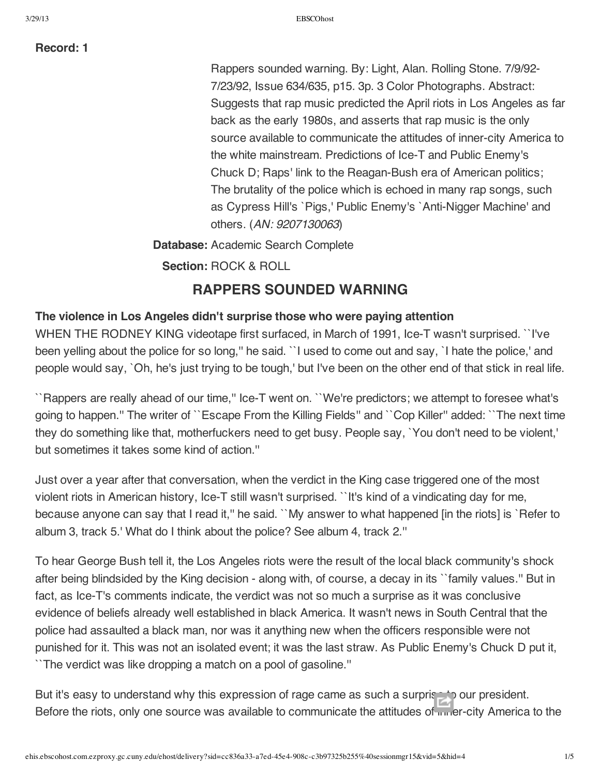## **Record: 1**

Rappers sounded warning. By: Light, Alan. Rolling Stone. 7/9/92- 7/23/92, Issue 634/635, p15. 3p. 3 Color Photographs. Abstract: Suggests that rap music predicted the April riots in Los Angeles as far back as the early 1980s, and asserts that rap music is the only source available to communicate the attitudes of inner-city America to the white mainstream. Predictions of Ice-T and Public Enemy's Chuck D; Raps' link to the Reagan-Bush era of American politics; The brutality of the police which is echoed in many rap songs, such as Cypress Hill's `Pigs,' Public Enemy's `Anti-Nigger Machine' and others. (*AN: 9207130063*)

**Database:** Academic Search Complete

**Section:** ROCK & ROLL

# **RAPPERS SOUNDED WARNING**

## **The violence in Los Angeles didn't surprise those who were paying attention**

WHEN THE RODNEY KING videotape first surfaced, in March of 1991, Ice-T wasn't surprised. ``I've been yelling about the police for so long,'' he said. ``I used to come out and say, `I hate the police,' and people would say, `Oh, he's just trying to be tough,' but I've been on the other end of that stick in real life.

``Rappers are really ahead of our time,'' Ice-T went on. ``We're predictors; we attempt to foresee what's going to happen.'' The writer of ``Escape From the Killing Fields'' and ``Cop Killer'' added: ``The next time they do something like that, motherfuckers need to get busy. People say, `You don't need to be violent,' but sometimes it takes some kind of action.''

Just over a year after that conversation, when the verdict in the King case triggered one of the most violent riots in American history, Ice-T still wasn't surprised. ``It's kind of a vindicating day for me, because anyone can say that I read it,'' he said. ``My answer to what happened [in the riots] is `Refer to album 3, track 5.' What do I think about the police? See album 4, track 2.''

To hear George Bush tell it, the Los Angeles riots were the result of the local black community's shock after being blindsided by the King decision - along with, of course, a decay in its ``family values.'' But in fact, as Ice-T's comments indicate, the verdict was not so much a surprise as it was conclusive evidence of beliefs already well established in black America. It wasn't news in South Central that the police had assaulted a black man, nor was it anything new when the officers responsible were not punished for it. This was not an isolated event; it was the last straw. As Public Enemy's Chuck D put it, ``The verdict was like dropping a match on a pool of gasoline.''

But it's easy to understand why this expression of rage came as such a surprise to our president. Before the riots, only one source was available to communicate the attitudes of *inner-city* America to the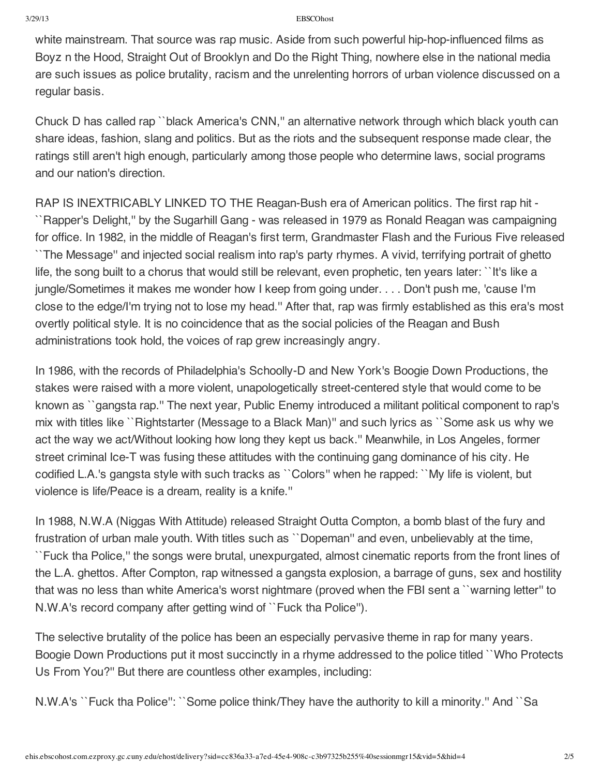white mainstream. That source was rap music. Aside from such powerful hip-hop-influenced films as Boyz n the Hood, Straight Out of Brooklyn and Do the Right Thing, nowhere else in the national media are such issues as police brutality, racism and the unrelenting horrors of urban violence discussed on a regular basis.

Chuck D has called rap ``black America's CNN,'' an alternative network through which black youth can share ideas, fashion, slang and politics. But as the riots and the subsequent response made clear, the ratings still aren't high enough, particularly among those people who determine laws, social programs and our nation's direction.

RAP IS INEXTRICABLY LINKED TO THE Reagan-Bush era of American politics. The first rap hit - ``Rapper's Delight,'' by the Sugarhill Gang - was released in 1979 as Ronald Reagan was campaigning for office. In 1982, in the middle of Reagan's first term, Grandmaster Flash and the Furious Five released ``The Message'' and injected social realism into rap's party rhymes. A vivid, terrifying portrait of ghetto life, the song built to a chorus that would still be relevant, even prophetic, ten years later: ``It's like a jungle/Sometimes it makes me wonder how I keep from going under. . . . Don't push me, 'cause I'm close to the edge/I'm trying not to lose my head.'' After that, rap was firmly established as this era's most overtly political style. It is no coincidence that as the social policies of the Reagan and Bush administrations took hold, the voices of rap grew increasingly angry.

In 1986, with the records of Philadelphia's Schoolly-D and New York's Boogie Down Productions, the stakes were raised with a more violent, unapologetically street-centered style that would come to be known as ``gangsta rap.'' The next year, Public Enemy introduced a militant political component to rap's mix with titles like ``Rightstarter (Message to a Black Man)'' and such lyrics as ``Some ask us why we act the way we act/Without looking how long they kept us back.'' Meanwhile, in Los Angeles, former street criminal Ice-T was fusing these attitudes with the continuing gang dominance of his city. He codified L.A.'s gangsta style with such tracks as ``Colors'' when he rapped: ``My life is violent, but violence is life/Peace is a dream, reality is a knife.''

In 1988, N.W.A (Niggas With Attitude) released Straight Outta Compton, a bomb blast of the fury and frustration of urban male youth. With titles such as ``Dopeman'' and even, unbelievably at the time, ``Fuck tha Police,'' the songs were brutal, unexpurgated, almost cinematic reports from the front lines of the L.A. ghettos. After Compton, rap witnessed a gangsta explosion, a barrage of guns, sex and hostility that was no less than white America's worst nightmare (proved when the FBI sent a ``warning letter'' to N.W.A's record company after getting wind of ``Fuck tha Police'').

The selective brutality of the police has been an especially pervasive theme in rap for many years. Boogie Down Productions put it most succinctly in a rhyme addressed to the police titled ``Who Protects Us From You?'' But there are countless other examples, including:

N.W.A's ``Fuck tha Police'': ``Some police think/They have the authority to kill a minority.'' And ``Sa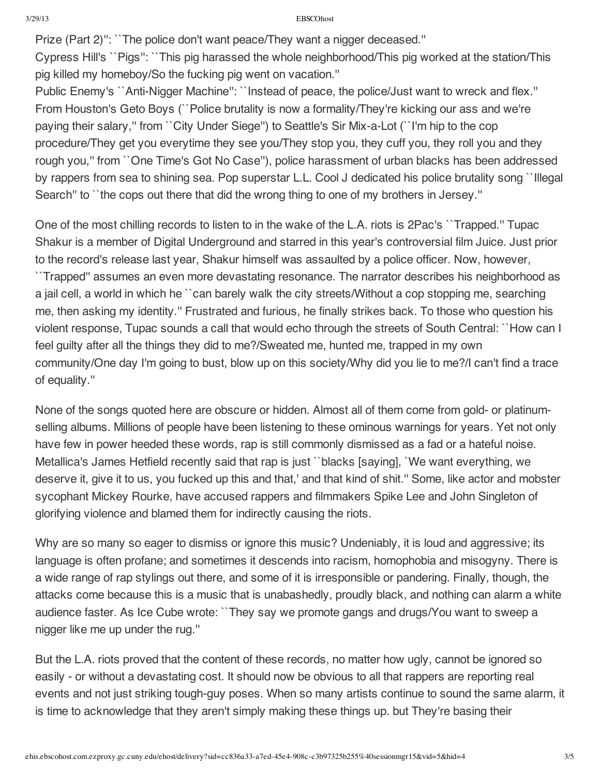Prize (Part 2)": "The police don't want peace/They want a nigger deceased."

Cypress Hill's ``Pigs'': ``This pig harassed the whole neighborhood/This pig worked at the station/This pig killed my homeboy/So the fucking pig went on vacation.''

Public Enemy's ``Anti-Nigger Machine": ``Instead of peace, the police/Just want to wreck and flex." From Houston's Geto Boys (``Police brutality is now a formality/They're kicking our ass and we're paying their salary,'' from ``City Under Siege'') to Seattle's Sir Mix-a-Lot (``I'm hip to the cop procedure/They get you everytime they see you/They stop you, they cuff you, they roll you and they rough you,'' from ``One Time's Got No Case''), police harassment of urban blacks has been addressed by rappers from sea to shining sea. Pop superstar L.L. Cool J dedicated his police brutality song ``Illegal Search'' to ``the cops out there that did the wrong thing to one of my brothers in Jersey.''

One of the most chilling records to listen to in the wake of the L.A. riots is 2Pac's ``Trapped.'' Tupac Shakur is a member of Digital Underground and starred in this year's controversial film Juice. Just prior to the record's release last year, Shakur himself was assaulted by a police officer. Now, however, ``Trapped'' assumes an even more devastating resonance. The narrator describes his neighborhood as a jail cell, a world in which he ``can barely walk the city streets/Without a cop stopping me, searching me, then asking my identity.'' Frustrated and furious, he finally strikes back. To those who question his violent response, Tupac sounds a call that would echo through the streets of South Central: ``How can I feel guilty after all the things they did to me?/Sweated me, hunted me, trapped in my own community/One day I'm going to bust, blow up on this society/Why did you lie to me?/I can't find a trace of equality.''

None of the songs quoted here are obscure or hidden. Almost all of them come from gold- or platinumselling albums. Millions of people have been listening to these ominous warnings for years. Yet not only have few in power heeded these words, rap is still commonly dismissed as a fad or a hateful noise. Metallica's James Hetfield recently said that rap is just ``blacks [saying], `We want everything, we deserve it, give it to us, you fucked up this and that,' and that kind of shit.'' Some, like actor and mobster sycophant Mickey Rourke, have accused rappers and filmmakers Spike Lee and John Singleton of glorifying violence and blamed them for indirectly causing the riots.

Why are so many so eager to dismiss or ignore this music? Undeniably, it is loud and aggressive; its language is often profane; and sometimes it descends into racism, homophobia and misogyny. There is a wide range of rap stylings out there, and some of it is irresponsible or pandering. Finally, though, the attacks come because this is a music that is unabashedly, proudly black, and nothing can alarm a white audience faster. As Ice Cube wrote: ``They say we promote gangs and drugs/You want to sweep a nigger like me up under the rug.''

But the L.A. riots proved that the content of these records, no matter how ugly, cannot be ignored so easily - or without a devastating cost. It should now be obvious to all that rappers are reporting real events and not just striking tough-guy poses. When so many artists continue to sound the same alarm, it is time to acknowledge that they aren't simply making these things up. but They're basing their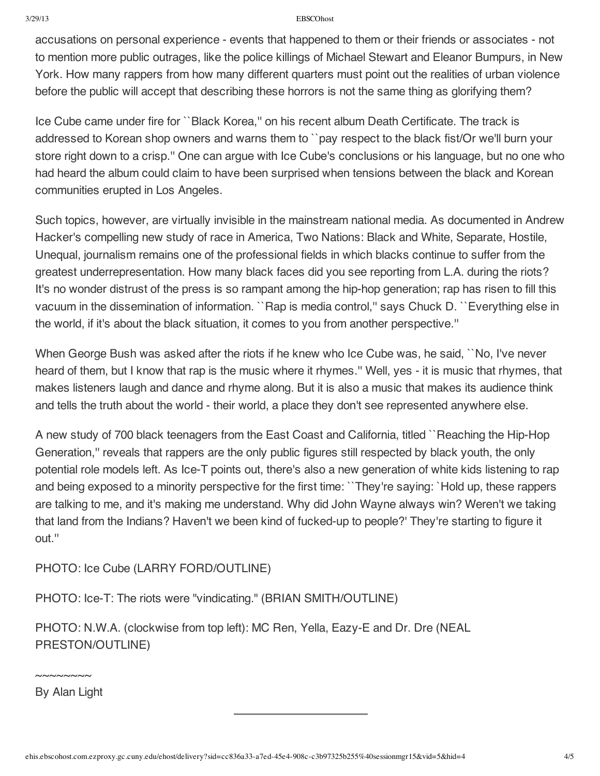accusations on personal experience - events that happened to them or their friends or associates - not to mention more public outrages, like the police killings of Michael Stewart and Eleanor Bumpurs, in New York. How many rappers from how many different quarters must point out the realities of urban violence before the public will accept that describing these horrors is not the same thing as glorifying them?

Ice Cube came under fire for ``Black Korea,'' on his recent album Death Certificate. The track is addressed to Korean shop owners and warns them to ``pay respect to the black fist/Or we'll burn your store right down to a crisp.'' One can argue with Ice Cube's conclusions or his language, but no one who had heard the album could claim to have been surprised when tensions between the black and Korean communities erupted in Los Angeles.

Such topics, however, are virtually invisible in the mainstream national media. As documented in Andrew Hacker's compelling new study of race in America, Two Nations: Black and White, Separate, Hostile, Unequal, journalism remains one of the professional fields in which blacks continue to suffer from the greatest underrepresentation. How many black faces did you see reporting from L.A. during the riots? It's no wonder distrust of the press is so rampant among the hip-hop generation; rap has risen to fill this vacuum in the dissemination of information. ``Rap is media control,'' says Chuck D. ``Everything else in the world, if it's about the black situation, it comes to you from another perspective.''

When George Bush was asked after the riots if he knew who Ice Cube was, he said, ''No, I've never heard of them, but I know that rap is the music where it rhymes.'' Well, yes - it is music that rhymes, that makes listeners laugh and dance and rhyme along. But it is also a music that makes its audience think and tells the truth about the world - their world, a place they don't see represented anywhere else.

A new study of 700 black teenagers from the East Coast and California, titled ``Reaching the Hip-Hop Generation,'' reveals that rappers are the only public figures still respected by black youth, the only potential role models left. As Ice-T points out, there's also a new generation of white kids listening to rap and being exposed to a minority perspective for the first time: ``They're saying: `Hold up, these rappers are talking to me, and it's making me understand. Why did John Wayne always win? Weren't we taking that land from the Indians? Haven't we been kind of fucked-up to people?' They're starting to figure it out.''

PHOTO: Ice Cube (LARRY FORD/OUTLINE)

PHOTO: Ice-T: The riots were "vindicating." (BRIAN SMITH/OUTLINE)

PHOTO: N.W.A. (clockwise from top left): MC Ren, Yella, Eazy-E and Dr. Dre (NEAL PRESTON/OUTLINE)

By Alan Light

 $\sim$ ~~~~~~